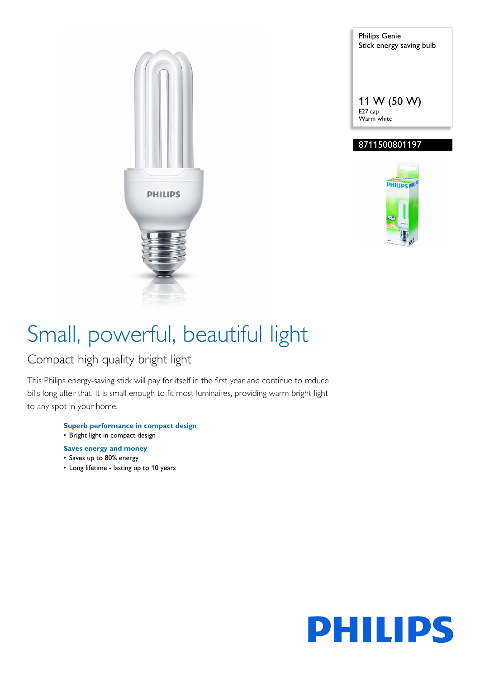

Philips Genie Stick energy saving bulb 11 W (50 W) E27 cap Warm white

### 8711500801197



# Small, powerful, beautiful light

### Compact high quality bright light

This Philips energy-saving stick will pay for itself in the first year and continue to reduce bills long after that. It is small enough to fit most luminaires, providing warm bright light to any spot in your home.

- **Superb performance in compact design** • Bright light in compact design
- 
- **Saves energy and money**
- Saves up to 80% energy
- Long lifetime lasting up to 10 years